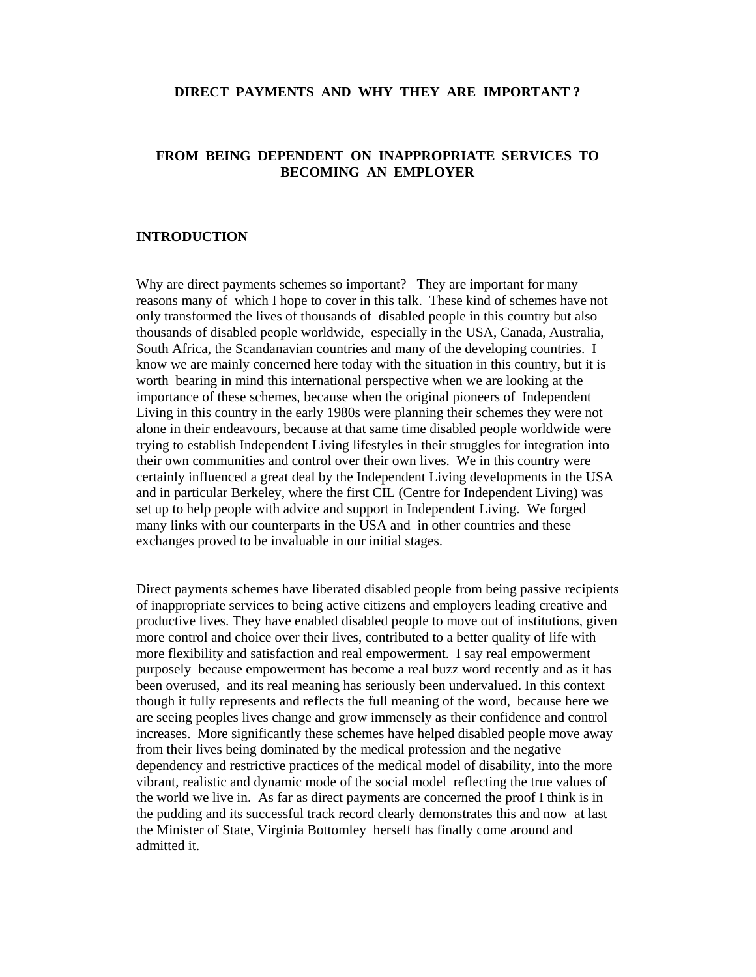## **DIRECT PAYMENTS AND WHY THEY ARE IMPORTANT ?**

# **FROM BEING DEPENDENT ON INAPPROPRIATE SERVICES TO BECOMING AN EMPLOYER**

# **INTRODUCTION**

Why are direct payments schemes so important? They are important for many reasons many of which I hope to cover in this talk. These kind of schemes have not only transformed the lives of thousands of disabled people in this country but also thousands of disabled people worldwide, especially in the USA, Canada, Australia, South Africa, the Scandanavian countries and many of the developing countries. I know we are mainly concerned here today with the situation in this country, but it is worth bearing in mind this international perspective when we are looking at the importance of these schemes, because when the original pioneers of Independent Living in this country in the early 1980s were planning their schemes they were not alone in their endeavours, because at that same time disabled people worldwide were trying to establish Independent Living lifestyles in their struggles for integration into their own communities and control over their own lives. We in this country were certainly influenced a great deal by the Independent Living developments in the USA and in particular Berkeley, where the first CIL (Centre for Independent Living) was set up to help people with advice and support in Independent Living. We forged many links with our counterparts in the USA and in other countries and these exchanges proved to be invaluable in our initial stages.

Direct payments schemes have liberated disabled people from being passive recipients of inappropriate services to being active citizens and employers leading creative and productive lives. They have enabled disabled people to move out of institutions, given more control and choice over their lives, contributed to a better quality of life with more flexibility and satisfaction and real empowerment. I say real empowerment purposely because empowerment has become a real buzz word recently and as it has been overused, and its real meaning has seriously been undervalued. In this context though it fully represents and reflects the full meaning of the word, because here we are seeing peoples lives change and grow immensely as their confidence and control increases. More significantly these schemes have helped disabled people move away from their lives being dominated by the medical profession and the negative dependency and restrictive practices of the medical model of disability, into the more vibrant, realistic and dynamic mode of the social model reflecting the true values of the world we live in. As far as direct payments are concerned the proof I think is in the pudding and its successful track record clearly demonstrates this and now at last the Minister of State, Virginia Bottomley herself has finally come around and admitted it.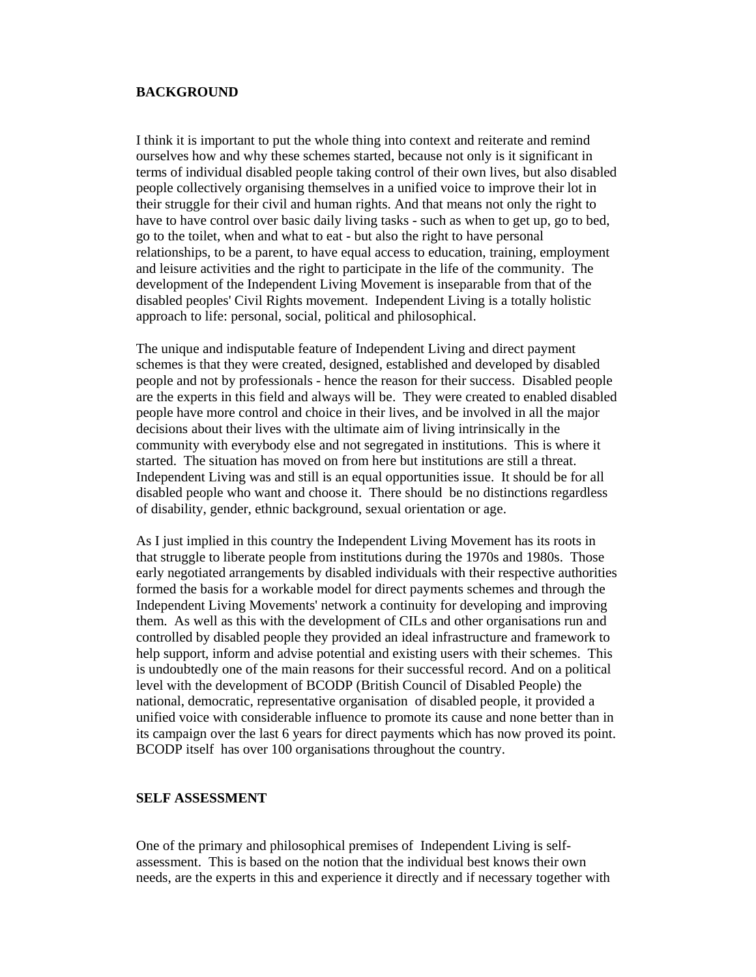## **BACKGROUND**

I think it is important to put the whole thing into context and reiterate and remind ourselves how and why these schemes started, because not only is it significant in terms of individual disabled people taking control of their own lives, but also disabled people collectively organising themselves in a unified voice to improve their lot in their struggle for their civil and human rights. And that means not only the right to have to have control over basic daily living tasks - such as when to get up, go to bed, go to the toilet, when and what to eat - but also the right to have personal relationships, to be a parent, to have equal access to education, training, employment and leisure activities and the right to participate in the life of the community. The development of the Independent Living Movement is inseparable from that of the disabled peoples' Civil Rights movement. Independent Living is a totally holistic approach to life: personal, social, political and philosophical.

The unique and indisputable feature of Independent Living and direct payment schemes is that they were created, designed, established and developed by disabled people and not by professionals - hence the reason for their success. Disabled people are the experts in this field and always will be. They were created to enabled disabled people have more control and choice in their lives, and be involved in all the major decisions about their lives with the ultimate aim of living intrinsically in the community with everybody else and not segregated in institutions. This is where it started. The situation has moved on from here but institutions are still a threat. Independent Living was and still is an equal opportunities issue. It should be for all disabled people who want and choose it. There should be no distinctions regardless of disability, gender, ethnic background, sexual orientation or age.

As I just implied in this country the Independent Living Movement has its roots in that struggle to liberate people from institutions during the 1970s and 1980s. Those early negotiated arrangements by disabled individuals with their respective authorities formed the basis for a workable model for direct payments schemes and through the Independent Living Movements' network a continuity for developing and improving them. As well as this with the development of CILs and other organisations run and controlled by disabled people they provided an ideal infrastructure and framework to help support, inform and advise potential and existing users with their schemes. This is undoubtedly one of the main reasons for their successful record. And on a political level with the development of BCODP (British Council of Disabled People) the national, democratic, representative organisation of disabled people, it provided a unified voice with considerable influence to promote its cause and none better than in its campaign over the last 6 years for direct payments which has now proved its point. BCODP itself has over 100 organisations throughout the country.

### **SELF ASSESSMENT**

One of the primary and philosophical premises of Independent Living is selfassessment. This is based on the notion that the individual best knows their own needs, are the experts in this and experience it directly and if necessary together with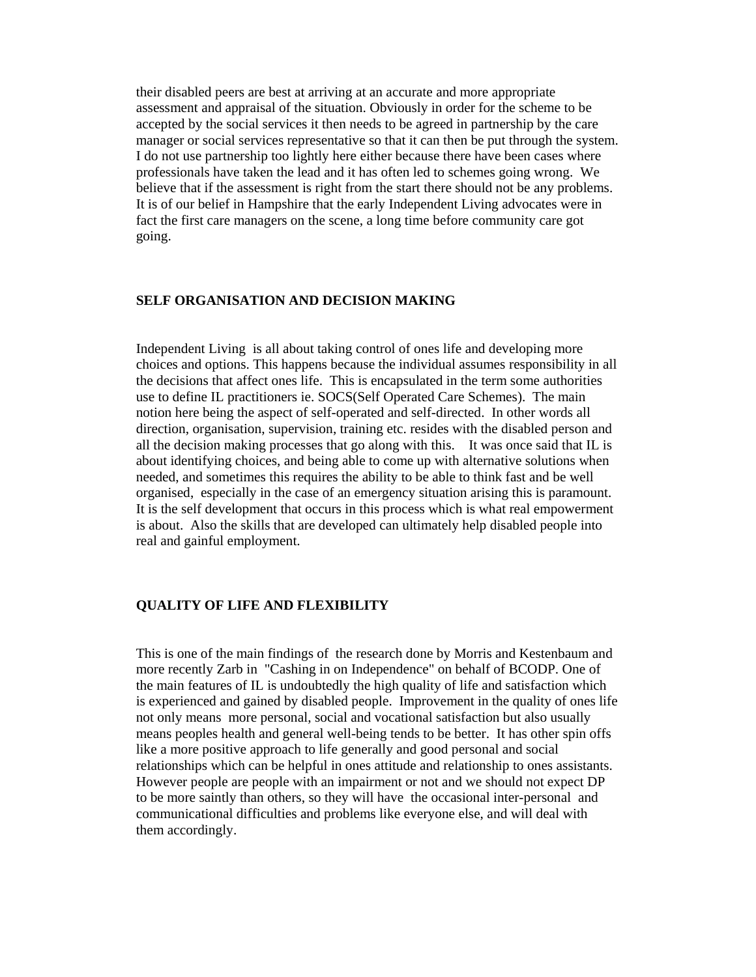their disabled peers are best at arriving at an accurate and more appropriate assessment and appraisal of the situation. Obviously in order for the scheme to be accepted by the social services it then needs to be agreed in partnership by the care manager or social services representative so that it can then be put through the system. I do not use partnership too lightly here either because there have been cases where professionals have taken the lead and it has often led to schemes going wrong. We believe that if the assessment is right from the start there should not be any problems. It is of our belief in Hampshire that the early Independent Living advocates were in fact the first care managers on the scene, a long time before community care got going.

### **SELF ORGANISATION AND DECISION MAKING**

Independent Living is all about taking control of ones life and developing more choices and options. This happens because the individual assumes responsibility in all the decisions that affect ones life. This is encapsulated in the term some authorities use to define IL practitioners ie. SOCS(Self Operated Care Schemes). The main notion here being the aspect of self-operated and self-directed. In other words all direction, organisation, supervision, training etc. resides with the disabled person and all the decision making processes that go along with this. It was once said that IL is about identifying choices, and being able to come up with alternative solutions when needed, and sometimes this requires the ability to be able to think fast and be well organised, especially in the case of an emergency situation arising this is paramount. It is the self development that occurs in this process which is what real empowerment is about. Also the skills that are developed can ultimately help disabled people into real and gainful employment.

#### **QUALITY OF LIFE AND FLEXIBILITY**

This is one of the main findings of the research done by Morris and Kestenbaum and more recently Zarb in "Cashing in on Independence" on behalf of BCODP. One of the main features of IL is undoubtedly the high quality of life and satisfaction which is experienced and gained by disabled people. Improvement in the quality of ones life not only means more personal, social and vocational satisfaction but also usually means peoples health and general well-being tends to be better. It has other spin offs like a more positive approach to life generally and good personal and social relationships which can be helpful in ones attitude and relationship to ones assistants. However people are people with an impairment or not and we should not expect DP to be more saintly than others, so they will have the occasional inter-personal and communicational difficulties and problems like everyone else, and will deal with them accordingly.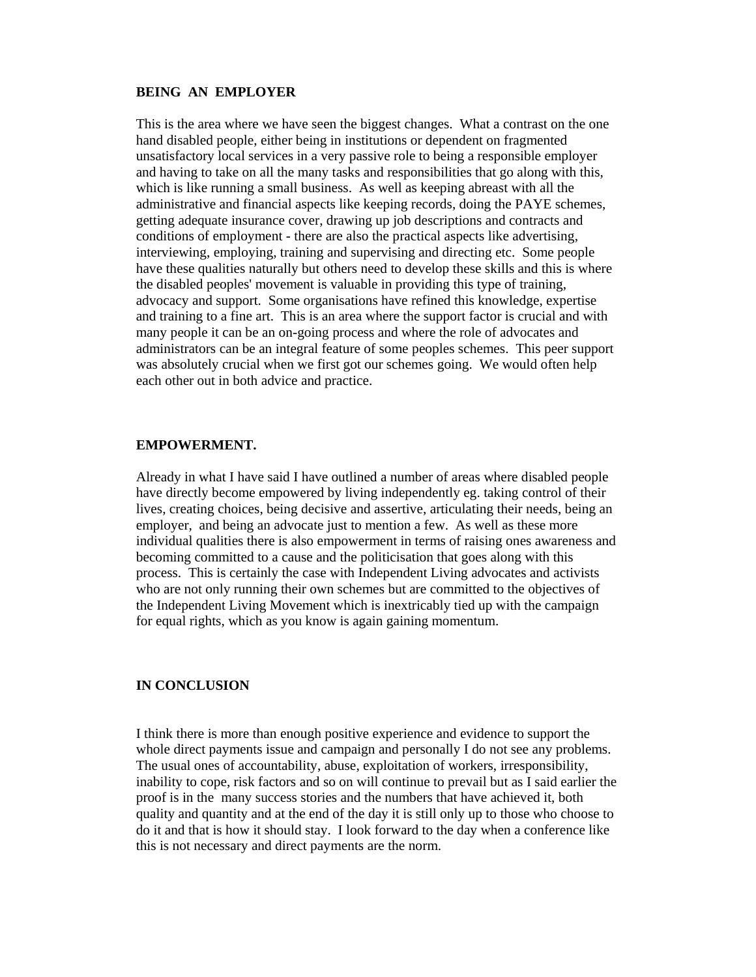## **BEING AN EMPLOYER**

This is the area where we have seen the biggest changes. What a contrast on the one hand disabled people, either being in institutions or dependent on fragmented unsatisfactory local services in a very passive role to being a responsible employer and having to take on all the many tasks and responsibilities that go along with this, which is like running a small business. As well as keeping abreast with all the administrative and financial aspects like keeping records, doing the PAYE schemes, getting adequate insurance cover, drawing up job descriptions and contracts and conditions of employment - there are also the practical aspects like advertising, interviewing, employing, training and supervising and directing etc. Some people have these qualities naturally but others need to develop these skills and this is where the disabled peoples' movement is valuable in providing this type of training, advocacy and support. Some organisations have refined this knowledge, expertise and training to a fine art. This is an area where the support factor is crucial and with many people it can be an on-going process and where the role of advocates and administrators can be an integral feature of some peoples schemes. This peer support was absolutely crucial when we first got our schemes going. We would often help each other out in both advice and practice.

### **EMPOWERMENT.**

Already in what I have said I have outlined a number of areas where disabled people have directly become empowered by living independently eg. taking control of their lives, creating choices, being decisive and assertive, articulating their needs, being an employer, and being an advocate just to mention a few. As well as these more individual qualities there is also empowerment in terms of raising ones awareness and becoming committed to a cause and the politicisation that goes along with this process. This is certainly the case with Independent Living advocates and activists who are not only running their own schemes but are committed to the objectives of the Independent Living Movement which is inextricably tied up with the campaign for equal rights, which as you know is again gaining momentum.

## **IN CONCLUSION**

I think there is more than enough positive experience and evidence to support the whole direct payments issue and campaign and personally I do not see any problems. The usual ones of accountability, abuse, exploitation of workers, irresponsibility, inability to cope, risk factors and so on will continue to prevail but as I said earlier the proof is in the many success stories and the numbers that have achieved it, both quality and quantity and at the end of the day it is still only up to those who choose to do it and that is how it should stay. I look forward to the day when a conference like this is not necessary and direct payments are the norm.